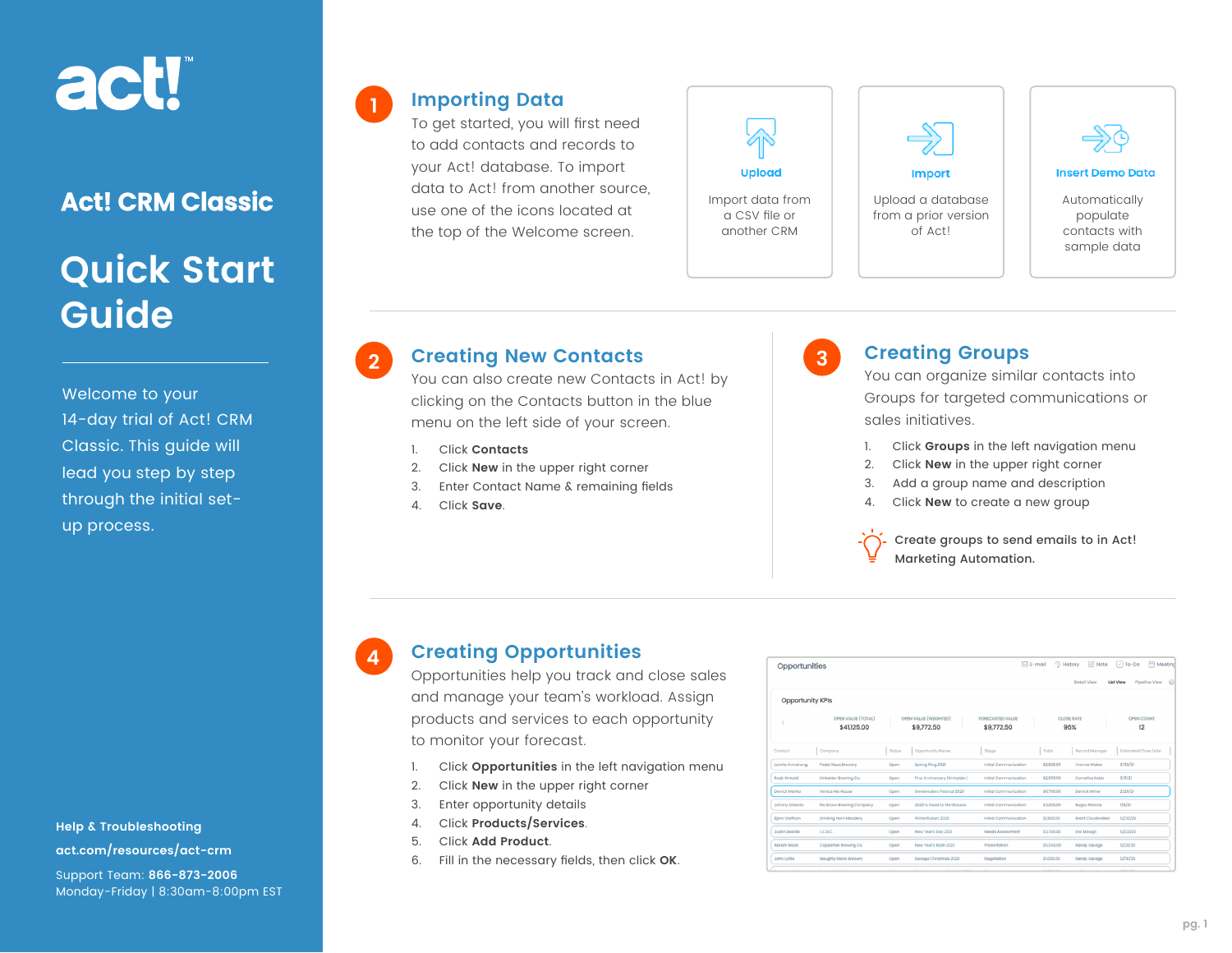# act!

### **Act! CRM Classic**

# **Quick Start Guide**

Welcome to your 14-day trial of Act! CRM Classic. This guide will lead you step by step through the initial setup process.

**Help & Troubleshooting [act.com/resources/act-crm](http://act.com/resources/act-crm)** Support Team: **866-873-2006** Monday-Friday | 8:30am-8:00pm EST

#### **Importing Data**

**1**

**4**

To get started, you will first need to add contacts and records to your Act! database. To import data to Act! from another source, use one of the icons located at the top of the Welcome screen.





Upload a database from a prior version of Act!



#### **Insert Demo Data**

Automatically populate contacts with sample data

### **Creating New Contacts 2 3**

You can also create new Contacts in Act! by clicking on the Contacts button in the blue menu on the left side of your screen.

- 1. Click **Contacts**
- 2. Click **New** in the upper right corner
- 3. Enter Contact Name & remaining fields
- 4. Click **Save**.



#### **Creating Groups**

You can organize similar contacts into Groups for targeted communications or sales initiatives.

- 1. Click **Groups** in the left navigation menu
- 2. Click **New** in the upper right corner
- 3. Add a group name and description
- 4. Click **New** to create a new group

Create groups to send emails to in Act! Marketing Automation.

#### **Creating Opportunities**

Opportunities help you track and close sales and manage your team's workload. Assign products and services to each opportunity to monitor your forecast.

- 1. Click **Opportunities** in the left navigation menu
- 2. Click **New** in the upper right corner
- 3. Enter opportunity details
- 4. Click **Products/Services**.
- 5. Click **Add Product**.
- 6. Fill in the necessary fields, then click **OK**.

| Opportunities           |                                   |               |                                     |                                       | 4 History<br>$\boxtimes$ E-mail | <b>Z</b> Note<br>Detail View | A Meeting<br>$\boxed{\smile}$ To-Do<br><b>List View</b><br>Pipeline View |
|-------------------------|-----------------------------------|---------------|-------------------------------------|---------------------------------------|---------------------------------|------------------------------|--------------------------------------------------------------------------|
| <b>Opportunity KPIs</b> |                                   |               |                                     |                                       |                                 |                              |                                                                          |
|                         | OPEN VALUE (TOTAL)<br>\$41,125.00 |               | OPEN VALUE (WEIGHTED)<br>\$9,772.50 | <b>FORECASTED VALUE</b><br>\$9,772.50 |                                 | <b>CLOSE RATE</b><br>96%     | OPEN COUNT<br>12                                                         |
| Contact                 | Company                           | <b>Status</b> | Opportunity Name                    | Stage                                 | Total                           | Record Manager               | Estimated Close Date                                                     |
| Lonnie Armstrong        | Pedal Haus Brewery                | Open          | Spring Fling 2021                   | Initial Communication                 | \$2,825.00                      | Yyonne Weber                 | 3/30/21                                                                  |
| Rudy Kinkaid            | Kinkaider Brewing Co.             | Open          | First Anniversary (Kinkaider)       | Initial Communication                 | \$2,650.00                      | Cornelius Kobb               | 3/5/21                                                                   |
| Derrick Merika          | Venice Ale House                  | Open          | Sweetwaters Festival 2020           | <b>Initial Communication</b>          | \$6,700.00                      | Derrick Milner               | 2/26/21                                                                  |
| <b>Johnny DiSanto</b>   | Rio Bravo Brewing Company         | Open          | 2020 is Dead to Me Glasses          | Initial Communication                 | \$3,250.00                      | <b>Buasy Malone</b>          | 1/8/21                                                                   |
| <b>Biorn Olaffson</b>   | Drinking Horn Meadery             | Open          | Winterfluben 2020                   | Initial Communication                 | \$1900.00                       | Brent Cloudwalker            | 12/30/20                                                                 |
| Justin Beardo           | LCBC.                             | Open          | New Year's Day 2021                 | Needs Assessment                      | \$3,700.00                      | Eric Mowgli                  | 12/23/20                                                                 |
| <b>Abram Mock</b>       | Coppertail Brewing Co.            | Open          | New Year's Bash 2021                | Presentation                          | \$5,550.00                      | Randy Sayage                 | 12/21/20                                                                 |
| <b>John Lyttle</b>      | Naughty Monk Browery              | Open          | Savage Christmas 2020               | Negotiation                           | \$1000.00                       | Randy Savage                 | 12/18/20                                                                 |
|                         |                                   |               |                                     |                                       |                                 |                              | <b>Contractor</b>                                                        |